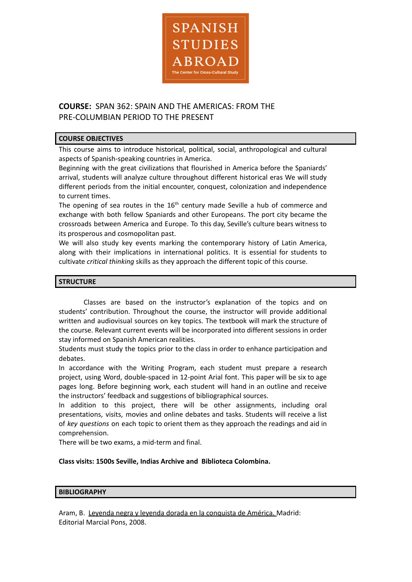

# **COURSE:** SPAN 362: SPAIN AND THE AMERICAS: FROM THE PRE-COLUMBIAN PERIOD TO THE PRESENT

# **COURSE OBJECTIVES**

This course aims to introduce historical, political, social, anthropological and cultural aspects of Spanish-speaking countries in America.

Beginning with the great civilizations that flourished in America before the Spaniards' arrival, students will analyze culture throughout different historical eras We will study different periods from the initial encounter, conquest, colonization and independence to current times.

The opening of sea routes in the 16<sup>th</sup> century made Seville a hub of commerce and exchange with both fellow Spaniards and other Europeans. The port city became the crossroads between America and Europe. To this day, Seville's culture bears witness to its prosperous and cosmopolitan past.

We will also study key events marking the contemporary history of Latin America, along with their implications in international politics. It is essential for students to cultivate *critical thinking* skills as they approach the different topic of this course.

# **STRUCTURE**

Classes are based on the instructor's explanation of the topics and on students' contribution. Throughout the course, the instructor will provide additional written and audiovisual sources on key topics. The textbook will mark the structure of the course. Relevant current events will be incorporated into different sessions in order stay informed on Spanish American realities.

Students must study the topics prior to the class in order to enhance participation and debates.

In accordance with the Writing Program, each student must prepare a research project, using Word, double-spaced in 12-point Arial font. This paper will be six to age pages long. Before beginning work, each student will hand in an outline and receive the instructors' feedback and suggestions of bibliographical sources.

In addition to this project, there will be other assignments, including oral presentations, visits, movies and online debates and tasks. Students will receive a list of *key questions* on each topic to orient them as they approach the readings and aid in comprehension.

There will be two exams, a mid-term and final.

### **Class visits: 1500s Seville, Indias Archive and Biblioteca Colombina.**

### **BIBLIOGRAPHY**

Aram, B. Leyenda negra y leyenda dorada en la conquista de América. Madrid: Editorial Marcial Pons, 2008.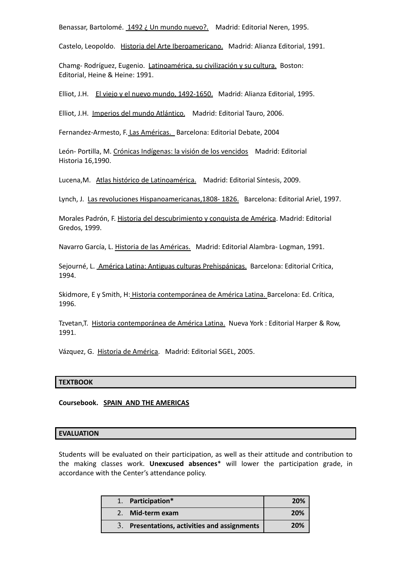Benassar, Bartolomé. 1492 ¿ Un mundo nuevo?. Madrid: Editorial Neren, 1995.

Castelo, Leopoldo. Historia del Arte Iberoamericano. Madrid: Alianza Editorial, 1991.

Chamg- Rodríguez, Eugenio. Latinoamérica, su civilización y su cultura. Boston: Editorial, Heine & Heine: 1991.

Elliot, J.H. El viejo y el nuevo mundo, 1492-1650. Madrid: Alianza Editorial, 1995.

Elliot, J.H. Imperios del mundo Atlántico. Madrid: Editorial Tauro, 2006.

Fernandez-Armesto, F. Las Américas. Barcelona: Editorial Debate, 2004

León- Portilla, M. Crónicas Indígenas: la visión de los vencidos Madrid: Editorial Historia 16,1990.

Lucena,M. Atlas histórico de Latinoamérica. Madrid: Editorial Síntesis, 2009.

Lynch, J. Las revoluciones Hispanoamericanas,1808- 1826. Barcelona: Editorial Ariel, 1997.

Morales Padrón, F. Historia del descubrimiento y conquista de América. Madrid: Editorial Gredos, 1999.

Navarro García, L. Historia de las Américas. Madrid: Editorial Alambra- Logman, 1991.

Sejourné, L. América Latina: Antiguas culturas Prehispánicas. Barcelona: Editorial Crítica, 1994.

Skidmore, E y Smith, H: Historia contemporánea de América Latina. Barcelona: Ed. Crítica, 1996.

Tzvetan,T. Historia contemporánea de América Latina. Nueva York : Editorial Harper & Row, 1991.

Vázquez, G. Historia de América. Madrid: Editorial SGEL, 2005.

#### **TEXTBOOK**

**Coursebook. SPAIN AND THE AMERICAS**

#### **EVALUATION**

Students will be evaluated on their participation, as well as their attitude and contribution to the making classes work. **Unexcused absences**\* will lower the participation grade, in accordance with the Center's attendance policy.

| 1. Participation*                            | 20% |
|----------------------------------------------|-----|
| Mid-term exam                                | 20% |
| 3. Presentations, activities and assignments | 20% |